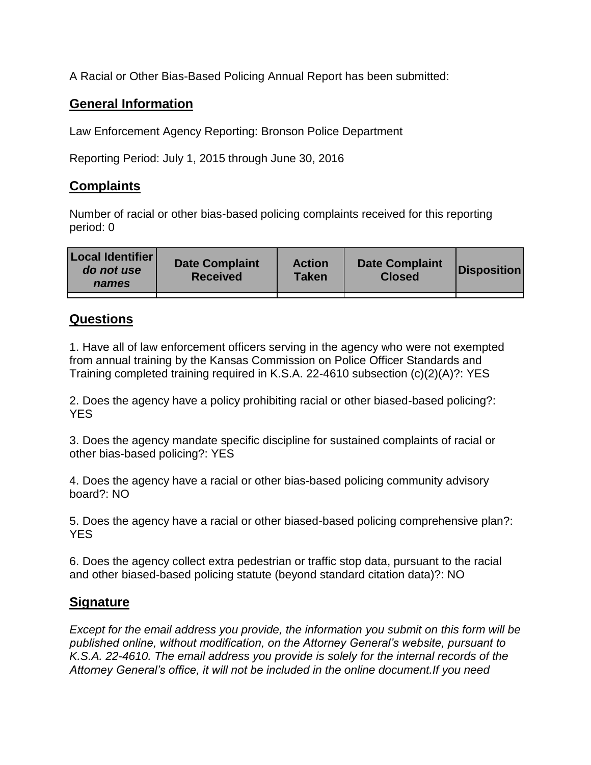A Racial or Other Bias-Based Policing Annual Report has been submitted:

## **General Information**

Law Enforcement Agency Reporting: Bronson Police Department

Reporting Period: July 1, 2015 through June 30, 2016

## **Complaints**

Number of racial or other bias-based policing complaints received for this reporting period: 0

| <b>Local Identifier</b><br>do not use<br>names | <b>Date Complaint</b><br><b>Received</b> | <b>Action</b><br><b>Taken</b> | <b>Date Complaint</b><br><b>Closed</b> | Disposition |
|------------------------------------------------|------------------------------------------|-------------------------------|----------------------------------------|-------------|
|                                                |                                          |                               |                                        |             |

## **Questions**

1. Have all of law enforcement officers serving in the agency who were not exempted from annual training by the Kansas Commission on Police Officer Standards and Training completed training required in K.S.A. 22-4610 subsection (c)(2)(A)?: YES

2. Does the agency have a policy prohibiting racial or other biased-based policing?: YES

3. Does the agency mandate specific discipline for sustained complaints of racial or other bias-based policing?: YES

4. Does the agency have a racial or other bias-based policing community advisory board?: NO

5. Does the agency have a racial or other biased-based policing comprehensive plan?: YES

6. Does the agency collect extra pedestrian or traffic stop data, pursuant to the racial and other biased-based policing statute (beyond standard citation data)?: NO

## **Signature**

*Except for the email address you provide, the information you submit on this form will be published online, without modification, on the Attorney General's website, pursuant to K.S.A. 22-4610. The email address you provide is solely for the internal records of the Attorney General's office, it will not be included in the online document.If you need*